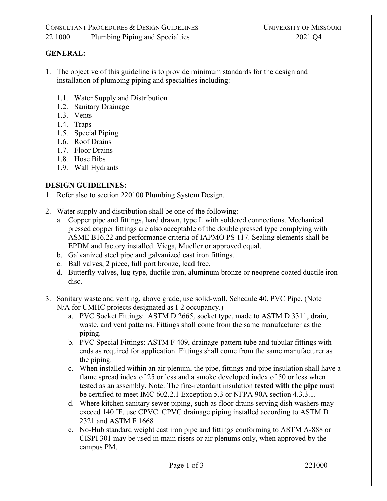# CONSULTANT PROCEDURES & DESIGN GUIDELINES UNIVERSITY OF MISSOURI

22 1000 Plumbing Piping and Specialties 2021 Q4

## **GENERAL:**

- 1. The objective of this guideline is to provide minimum standards for the design and installation of plumbing piping and specialties including:
	- 1.1. Water Supply and Distribution
	- 1.2. Sanitary Drainage
	- 1.3. Vents
	- 1.4. Traps
	- 1.5. Special Piping
	- 1.6. Roof Drains
	- 1.7. Floor Drains
	- 1.8. Hose Bibs
	- 1.9. Wall Hydrants

# **DESIGN GUIDELINES:**

- 1. Refer also to section 220100 Plumbing System Design.
- 2. Water supply and distribution shall be one of the following:
	- a. Copper pipe and fittings, hard drawn, type L with soldered connections. Mechanical pressed copper fittings are also acceptable of the double pressed type complying with ASME B16.22 and performance criteria of IAPMO PS 117. Sealing elements shall be EPDM and factory installed. Viega, Mueller or approved equal.
	- b. Galvanized steel pipe and galvanized cast iron fittings.
	- c. Ball valves, 2 piece, full port bronze, lead free.
	- d. Butterfly valves, lug-type, ductile iron, aluminum bronze or neoprene coated ductile iron disc.
- 3. Sanitary waste and venting, above grade, use solid-wall, Schedule 40, PVC Pipe. (Note N/A for UMHC projects designated as I-2 occupancy.)
	- a. PVC Socket Fittings: ASTM D 2665, socket type, made to ASTM D 3311, drain, waste, and vent patterns. Fittings shall come from the same manufacturer as the piping.
	- b. PVC Special Fittings: ASTM F 409, drainage-pattern tube and tubular fittings with ends as required for application. Fittings shall come from the same manufacturer as the piping.
	- c. When installed within an air plenum, the pipe, fittings and pipe insulation shall have a flame spread index of 25 or less and a smoke developed index of 50 or less when tested as an assembly. Note: The fire-retardant insulation **tested with the pipe** must be certified to meet IMC 602.2.1 Exception 5.3 or NFPA 90A section 4.3.3.1.
	- d. Where kitchen sanitary sewer piping, such as floor drains serving dish washers may exceed 140 ˚F, use CPVC. CPVC drainage piping installed according to ASTM D 2321 and ASTM F 1668
	- e. No-Hub standard weight cast iron pipe and fittings conforming to ASTM A-888 or CISPI 301 may be used in main risers or air plenums only, when approved by the campus PM.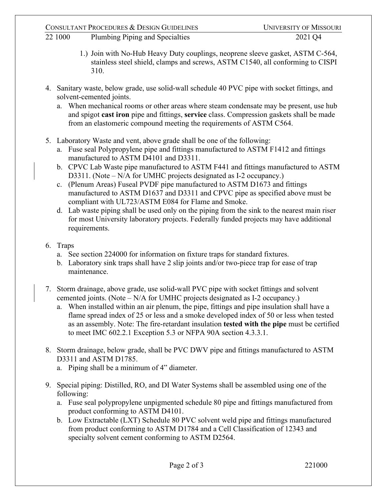# CONSULTANT PROCEDURES & DESIGN GUIDELINES UNIVERSITY OF MISSOURI

- 22 1000 Plumbing Piping and Specialties 2021 Q4
	- 1.) Join with No-Hub Heavy Duty couplings, neoprene sleeve gasket, ASTM C-564, stainless steel shield, clamps and screws, ASTM C1540, all conforming to CISPI 310.
- 4. Sanitary waste, below grade, use solid-wall schedule 40 PVC pipe with socket fittings, and solvent-cemented joints.
	- a. When mechanical rooms or other areas where steam condensate may be present, use hub and spigot **cast iron** pipe and fittings, **service** class. Compression gaskets shall be made from an elastomeric compound meeting the requirements of ASTM C564.
- 5. Laboratory Waste and vent, above grade shall be one of the following:
	- a. Fuse seal Polypropylene pipe and fittings manufactured to ASTM F1412 and fittings manufactured to ASTM D4101 and D3311.
	- b. CPVC Lab Waste pipe manufactured to ASTM F441 and fittings manufactured to ASTM D3311. (Note – N/A for UMHC projects designated as I-2 occupancy.)
	- c. (Plenum Areas) Fuseal PVDF pipe manufactured to ASTM D1673 and fittings manufactured to ASTM D1637 and D3311 and CPVC pipe as specified above must be compliant with UL723/ASTM E084 for Flame and Smoke.
	- d. Lab waste piping shall be used only on the piping from the sink to the nearest main riser for most University laboratory projects. Federally funded projects may have additional requirements.
- 6. Traps
	- a. See section 224000 for information on fixture traps for standard fixtures.
	- b. Laboratory sink traps shall have 2 slip joints and/or two-piece trap for ease of trap maintenance.
- 7. Storm drainage, above grade, use solid-wall PVC pipe with socket fittings and solvent cemented joints. (Note – N/A for UMHC projects designated as I-2 occupancy.)
	- a. When installed within an air plenum, the pipe, fittings and pipe insulation shall have a flame spread index of 25 or less and a smoke developed index of 50 or less when tested as an assembly. Note: The fire-retardant insulation **tested with the pipe** must be certified to meet IMC 602.2.1 Exception 5.3 or NFPA 90A section 4.3.3.1.
- 8. Storm drainage, below grade, shall be PVC DWV pipe and fittings manufactured to ASTM D3311 and ASTM D1785.
	- a. Piping shall be a minimum of 4" diameter.
- 9. Special piping: Distilled, RO, and DI Water Systems shall be assembled using one of the following:
	- a. Fuse seal polypropylene unpigmented schedule 80 pipe and fittings manufactured from product conforming to ASTM D4101.
	- b. Low Extractable (LXT) Schedule 80 PVC solvent weld pipe and fittings manufactured from product conforming to ASTM D1784 and a Cell Classification of 12343 and specialty solvent cement conforming to ASTM D2564.